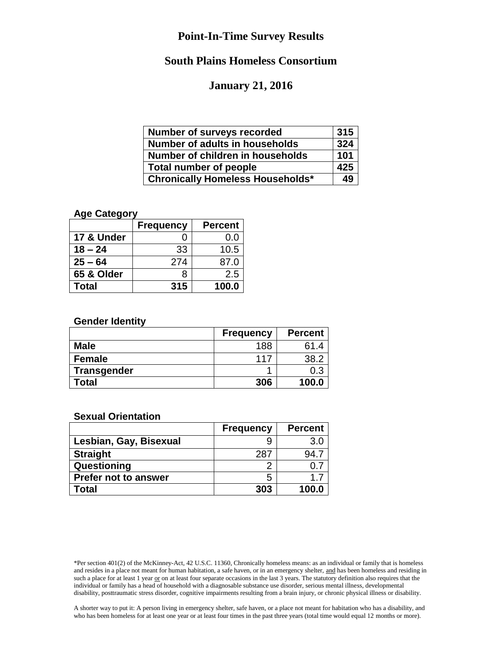# **South Plains Homeless Consortium**

#### **January 21, 2016**

| <b>Number of surveys recorded</b>       | 315 |
|-----------------------------------------|-----|
| <b>Number of adults in households</b>   | 324 |
| Number of children in households        | 101 |
| Total number of people                  |     |
| <b>Chronically Homeless Households*</b> | 49  |

## **Age Category**

|            | <b>Frequency</b> | <b>Percent</b> |
|------------|------------------|----------------|
| 17 & Under |                  | 0.0            |
| $18 - 24$  | 33               | 10.5           |
| $25 - 64$  | 274              | 87.0           |
| 65 & Older |                  | 2.5            |
| Total      | 315              | 100.0          |

#### **Gender Identity**

|                    | <b>Frequency</b> | <b>Percent</b> |
|--------------------|------------------|----------------|
| <b>Male</b>        | 188              | 61.4           |
| <b>Female</b>      | 117              |                |
| <b>Transgender</b> |                  | 0.3            |
| Total              | 306              | 100.0          |

#### **Sexual Orientation**

|                             | <b>Frequency</b> | <b>Percent</b> |
|-----------------------------|------------------|----------------|
| Lesbian, Gay, Bisexual      | 9                | 3.0            |
| <b>Straight</b>             | 287              | 94 :           |
| Questioning                 | っ                |                |
| <b>Prefer not to answer</b> | 5                | 17             |
| Total                       | 303              | 100.0          |

A shorter way to put it: A person living in emergency shelter, safe haven, or a place not meant for habitation who has a disability, and who has been homeless for at least one year or at least four times in the past three years (total time would equal 12 months or more).

<sup>\*</sup>Per section 401(2) of the McKinney-Act, 42 U.S.C. 11360, Chronically homeless means: as an individual or family that is homeless and resides in a place not meant for human habitation, a safe haven, or in an emergency shelter, and has been homeless and residing in such a place for at least 1 year or on at least four separate occasions in the last 3 years. The statutory definition also requires that the individual or family has a head of household with a diagnosable substance use disorder, serious mental illness, developmental disability, posttraumatic stress disorder, cognitive impairments resulting from a brain injury, or chronic physical illness or disability.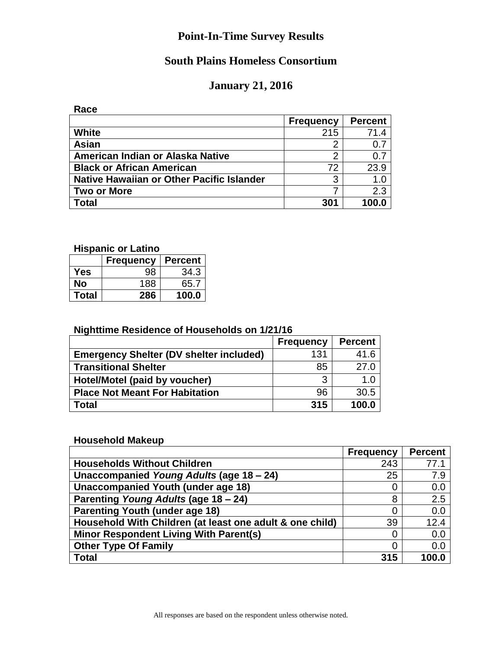# **South Plains Homeless Consortium**

## **January 21, 2016**

**Race**

|                                           | <b>Frequency</b> | <b>Percent</b> |
|-------------------------------------------|------------------|----------------|
| White                                     | 215              | 71.4           |
| Asian                                     | 2                |                |
| American Indian or Alaska Native          | 2                | 0.7            |
| <b>Black or African American</b>          | 72               | 23.9           |
| Native Hawaiian or Other Pacific Islander | 3                | 1.0            |
| <b>Two or More</b>                        |                  | 2.3            |
| <b>Total</b>                              | 301              | 100.0          |

#### **Hispanic or Latino**

|              | <b>Frequency</b> | <b>Percent</b> |
|--------------|------------------|----------------|
| Yes          | 98               | 34.3           |
| No           | 188              | 65.7           |
| <b>Total</b> | 286              | 100.0          |

#### **Nighttime Residence of Households on 1/21/16**

|                                                | <b>Frequency</b> | <b>Percent</b> |
|------------------------------------------------|------------------|----------------|
| <b>Emergency Shelter (DV shelter included)</b> | 131              | 41.6           |
| <b>Transitional Shelter</b>                    | 85               | 27.0           |
| Hotel/Motel (paid by voucher)                  | ્ર               | 1.0            |
| <b>Place Not Meant For Habitation</b>          | 96               | 30.5           |
| Total                                          | 315              | 100.0          |

### **Household Makeup**

|                                                          | <b>Frequency</b> | <b>Percent</b> |
|----------------------------------------------------------|------------------|----------------|
| <b>Households Without Children</b>                       | 243              | 77.1           |
| Unaccompanied Young Adults (age 18 - 24)                 | 25               | 7.9            |
| Unaccompanied Youth (under age 18)                       | 0                | 0.0            |
| Parenting Young Adults (age 18 - 24)                     | 8                | 2.5            |
| <b>Parenting Youth (under age 18)</b>                    | 0                | 0.0            |
| Household With Children (at least one adult & one child) | 39               | 12.4           |
| Minor Respondent Living With Parent(s)                   | 0                | 0.0            |
| <b>Other Type Of Family</b>                              | 0                | 0.0            |
| <b>Total</b>                                             | 315              | 100.0          |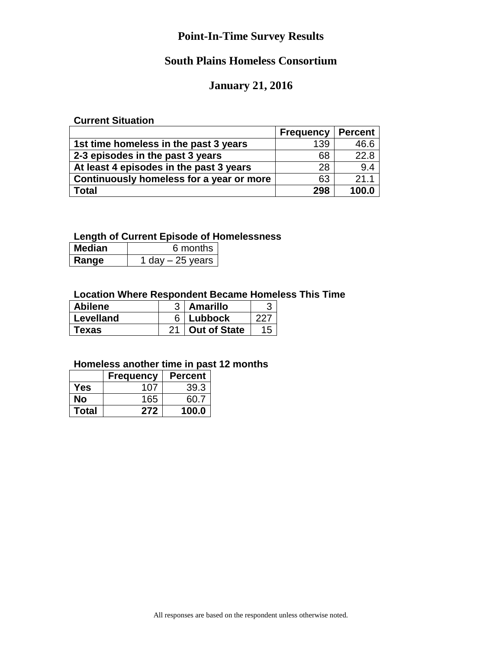# **South Plains Homeless Consortium**

## **January 21, 2016**

#### **Current Situation**

|                                          | <b>Frequency</b> | <b>Percent</b> |
|------------------------------------------|------------------|----------------|
| 1st time homeless in the past 3 years    | 139              | 46.6           |
| 2-3 episodes in the past 3 years         | 68               | 22.8           |
| At least 4 episodes in the past 3 years  | 28               | 9.4            |
| Continuously homeless for a year or more | 63               | 21.1           |
| Total                                    | 298              | 100.0          |

## **Length of Current Episode of Homelessness**

| <b>Median</b> | 6 months          |
|---------------|-------------------|
| Range         | 1 day $-25$ years |

### **Location Where Respondent Became Homeless This Time**

| <b>Abilene</b> | <b>Amarillo</b>     |    |
|----------------|---------------------|----|
| Levelland      | Lubbock             |    |
| Texas          | <b>Out of State</b> | 15 |

#### **Homeless another time in past 12 months**

|              | <b>Frequency</b> | <b>Percent</b> |
|--------------|------------------|----------------|
| Yes          | 107              | 39.3           |
| No           | 165              | 60.7           |
| <b>Total</b> | 272              | 100.0          |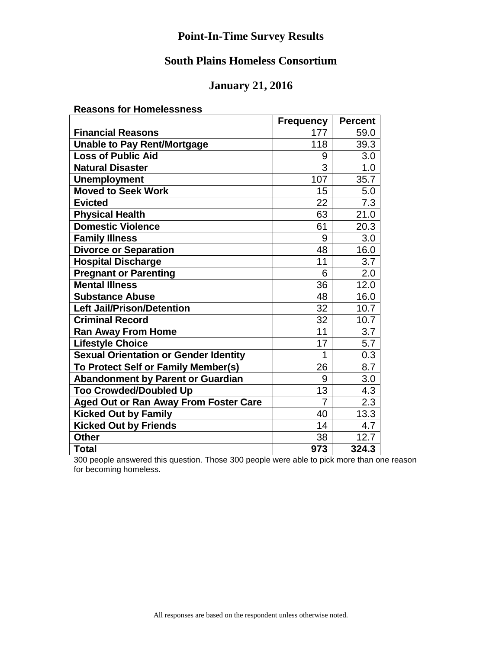# **South Plains Homeless Consortium**

## **January 21, 2016**

**Reasons for Homelessness** 

|                                          | <b>Frequency</b> | <b>Percent</b> |
|------------------------------------------|------------------|----------------|
| <b>Financial Reasons</b>                 | 177              | 59.0           |
| <b>Unable to Pay Rent/Mortgage</b>       | 118              | 39.3           |
| <b>Loss of Public Aid</b>                | 9                | 3.0            |
| <b>Natural Disaster</b>                  | 3                | 1.0            |
| <b>Unemployment</b>                      | 107              | 35.7           |
| <b>Moved to Seek Work</b>                | 15               | 5.0            |
| <b>Evicted</b>                           | 22               | 7.3            |
| <b>Physical Health</b>                   | 63               | 21.0           |
| <b>Domestic Violence</b>                 | 61               | 20.3           |
| <b>Family Illness</b>                    | 9                | 3.0            |
| <b>Divorce or Separation</b>             | 48               | 16.0           |
| <b>Hospital Discharge</b>                | 11               | 3.7            |
| <b>Pregnant or Parenting</b>             | 6                | 2.0            |
| <b>Mental Illness</b>                    | 36               | 12.0           |
| <b>Substance Abuse</b>                   | 48               | 16.0           |
| <b>Left Jail/Prison/Detention</b>        | 32               | 10.7           |
| <b>Criminal Record</b>                   | 32               | 10.7           |
| <b>Ran Away From Home</b>                | 11               | 3.7            |
| <b>Lifestyle Choice</b>                  | 17               | 5.7            |
| Sexual Orientation or Gender Identity    | 1                | 0.3            |
| To Protect Self or Family Member(s)      | 26               | 8.7            |
| <b>Abandonment by Parent or Guardian</b> | 9                | 3.0            |
| <b>Too Crowded/Doubled Up</b>            | 13               | 4.3            |
| Aged Out or Ran Away From Foster Care    | 7                | 2.3            |
| <b>Kicked Out by Family</b>              | 40               | 13.3           |
| <b>Kicked Out by Friends</b>             | 14               | 4.7            |
| <b>Other</b>                             | 38               | 12.7           |
| <b>Total</b>                             | 973              | 324.3          |

300 people answered this question. Those 300 people were able to pick more than one reason for becoming homeless.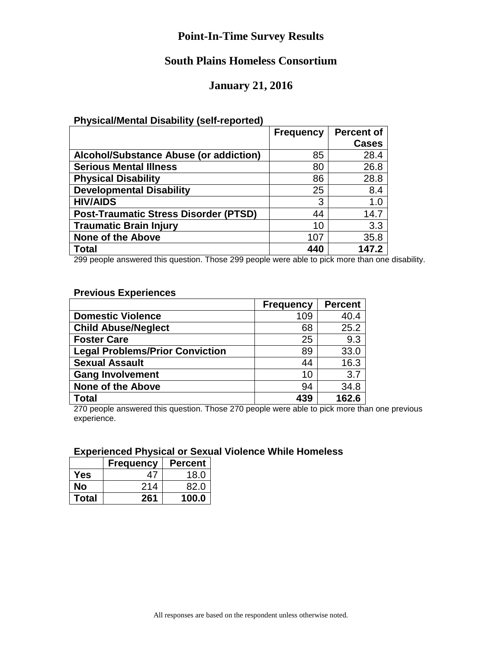## **South Plains Homeless Consortium**

### **January 21, 2016**

#### **Physical/Mental Disability (self-reported)**

|                                               | <b>Frequency</b> | <b>Percent of</b> |
|-----------------------------------------------|------------------|-------------------|
|                                               |                  | <b>Cases</b>      |
| <b>Alcohol/Substance Abuse (or addiction)</b> | 85               | 28.4              |
| <b>Serious Mental Illness</b>                 | 80               | 26.8              |
| <b>Physical Disability</b>                    | 86               | 28.8              |
| <b>Developmental Disability</b>               | 25               | 8.4               |
| <b>HIV/AIDS</b>                               | 3                | 1.0               |
| <b>Post-Traumatic Stress Disorder (PTSD)</b>  | 44               | 14.7              |
| <b>Traumatic Brain Injury</b>                 | 10               | 3.3               |
| <b>None of the Above</b>                      | 107              | 35.8              |
| Total                                         | 440              | 147.2             |

299 people answered this question. Those 299 people were able to pick more than one disability.

#### **Previous Experiences**

|                                        | <b>Frequency</b> | <b>Percent</b> |
|----------------------------------------|------------------|----------------|
| <b>Domestic Violence</b>               | 109              | 40.4           |
| <b>Child Abuse/Neglect</b>             | 68               | 25.2           |
| <b>Foster Care</b>                     | 25               | 9.3            |
| <b>Legal Problems/Prior Conviction</b> | 89               | 33.0           |
| <b>Sexual Assault</b>                  | 44               | 16.3           |
| <b>Gang Involvement</b>                | 10               | 3.7            |
| <b>None of the Above</b>               | 94               | 34.8           |
| Total                                  | 439              | 162.6          |

270 people answered this question. Those 270 people were able to pick more than one previous experience.

#### **Experienced Physical or Sexual Violence While Homeless**

|              | <b>Frequency</b> | <b>Percent</b> |
|--------------|------------------|----------------|
| Yes          | Δ,               | 18.0           |
| No           | 214              | 82.0           |
| <b>Total</b> | 261              | 100.0          |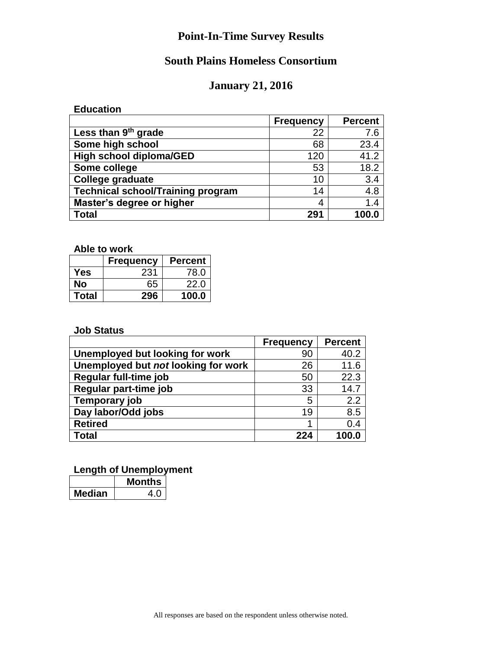# **South Plains Homeless Consortium**

# **January 21, 2016**

**Education**

|                                          | <b>Frequency</b> | <b>Percent</b> |
|------------------------------------------|------------------|----------------|
| Less than 9 <sup>th</sup> grade          | 22               | 7.6            |
| Some high school                         | 68               | 23.4           |
| High school diploma/GED                  | 120              | 41.2           |
| Some college                             | 53               | 18.2           |
| <b>College graduate</b>                  | 10               | 3.4            |
| <b>Technical school/Training program</b> | 14               | 4.8            |
| Master's degree or higher                | 4                | 1.4            |
| <b>Total</b>                             | 291              | 100.0          |

**Able to work**

|       | <b>Frequency</b> | <b>Percent</b> |
|-------|------------------|----------------|
| Yes   | 231              | 78.0           |
| No    | 65               | 22.0           |
| Total | 296              | 100.0          |

#### **Job Status**

|                                     | <b>Frequency</b> | <b>Percent</b> |
|-------------------------------------|------------------|----------------|
| Unemployed but looking for work     | 90               | 40.2           |
| Unemployed but not looking for work | 26               | 11.6           |
| Regular full-time job               | 50               | 22.3           |
| Regular part-time job               | 33               | 14.7           |
| Temporary job                       | 5                | 2.2            |
| Day labor/Odd jobs                  | 19               | 8.5            |
| <b>Retired</b>                      |                  | 0.4            |
| Total                               | 224              | 100.0          |

#### **Length of Unemployment**

|        | <b>Months</b> |
|--------|---------------|
| ledian | 4             |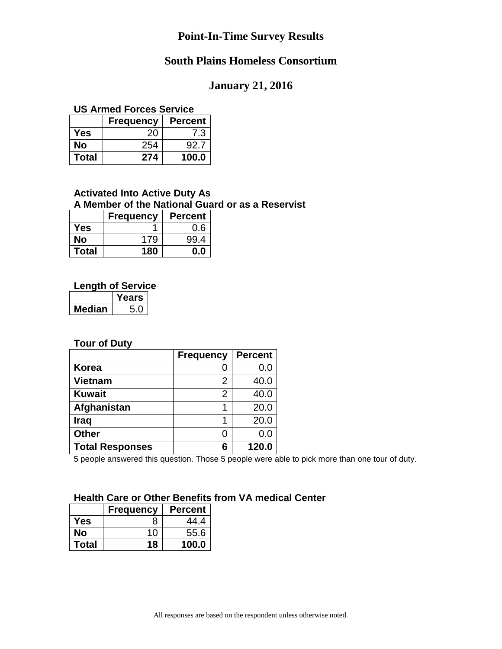## **South Plains Homeless Consortium**

#### **January 21, 2016**

#### **US Armed Forces Service**

|       | <b>Frequency</b> | <b>Percent</b> |
|-------|------------------|----------------|
| Yes   | 20               | 7.3            |
| No    | 254              | 92.7           |
| Total | 274              | 100.0          |

#### **Activated Into Active Duty As A Member of the National Guard or as a Reservist**

|              | <b>Frequency</b> | <b>Percent</b> |
|--------------|------------------|----------------|
| Yes          |                  | 0.6            |
| No           | 179              | 99.4           |
| <b>Total</b> | 180              | ი ი            |

#### **Length of Service**

|         | rears |
|---------|-------|
| Vledian |       |

#### **Tour of Duty**

|                        | <b>Frequency</b> | <b>Percent</b> |
|------------------------|------------------|----------------|
| Korea                  |                  | 0.0            |
| <b>Vietnam</b>         | 2                | 40.0           |
| <b>Kuwait</b>          | 2                | 40.0           |
| Afghanistan            |                  | 20.0           |
| <b>Iraq</b>            |                  | 20.0           |
| <b>Other</b>           | O                | 0.0            |
| <b>Total Responses</b> | 6                | 120.0          |

5 people answered this question. Those 5 people were able to pick more than one tour of duty.

#### **Health Care or Other Benefits from VA medical Center**

|              | <b>Frequency</b> | <b>Percent</b> |
|--------------|------------------|----------------|
| Yes          | x                | 44.4           |
| No           | 10               | 55.6           |
| <b>Total</b> | 18               | 100.0          |